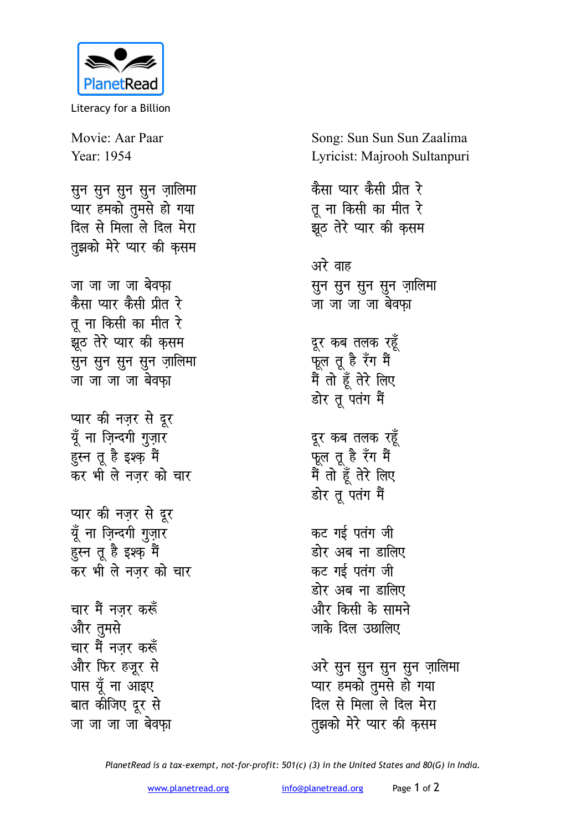

Literacy for a Billion

Movie: Aar Paar Year: 1954

सुन सुन सुन सुन ज़ालिमा ्<br>प्यार हमको <u>त</u>ुमसे हो गया दिल से मिला ले दिल मेरा तुझको मेरे प्यार की क<del>ृ</del>सम

<u>जा जा जा बेवफा</u> <u>कैसा प्यार कैसी प्रीत रे</u> तू ना किसी का मीत र<mark>े</mark> <u>झ</u>ेठ तेरे प्यार की कृसम सुन सुन सुन सुन ज़ालि**मा** <u>जा जा जा बेवफा</u>

प्यार की नज़र से दूर मूँ ना ज़िन्दगी गुज़ार हुस्न तू है इश्क़ मैं कर भी ले नजर को चार

प्यार की नज़र से दूर मूँ ना ज़िन्दगी ग<u>ु</u>ज़ार हस्न तू है इश्क़ मैं कर भी ले नज़र को चार

<u>चार मैं नजर करूँ</u> और तुमसे **चार मैं नजर करूँ** <u>और फिर हजूर से</u> पास यूँ ना आइए बात कीजिए दूर से <u>जा जा जा बेवफा</u> Song: Sun Sun Sun Zaalima Lyricist: Majrooh Sultanpuri

**कैसा प्यार कैसी प्रीत रे** तू ना किसी का मीत र<mark>े</mark> झूठ तेरे प्यार की क<del>ृ</del>सम अरे वाह <u>सू</u>न सून सून ज़ालिमा <u>जा जा जा बेवफा</u> दूर कब तलक रहू<mark>ँ</mark> फूल तू है रँग म<del>े</del>ं मैं तो हूँ तेरे लिए डोर तू पतंग मैं दूर कब तलक रहूँ फूल तू है रँग म<del>े</del>ं मैं तो हूँ तेरे लिए डोर तू पतंग मैं कट गई पतंग जी डोर अब ना डालिए कट गई पतंग जी डोर अब ना डालिए और किसी के सामने जाके दिल उछालिए अरे सुन सुन सुन सुन ज़ालिमा <u>प्यार हमको तुमसे हो गया</u> <u>दिल से मिला ले दिल मेरा</u>

तुझको मेरे प्यार की क<del>ृ</del>सम

*PlanetRead is a tax-exempt, not-for-profit: 501(c) (3) in the United States and 80(G) in India.*